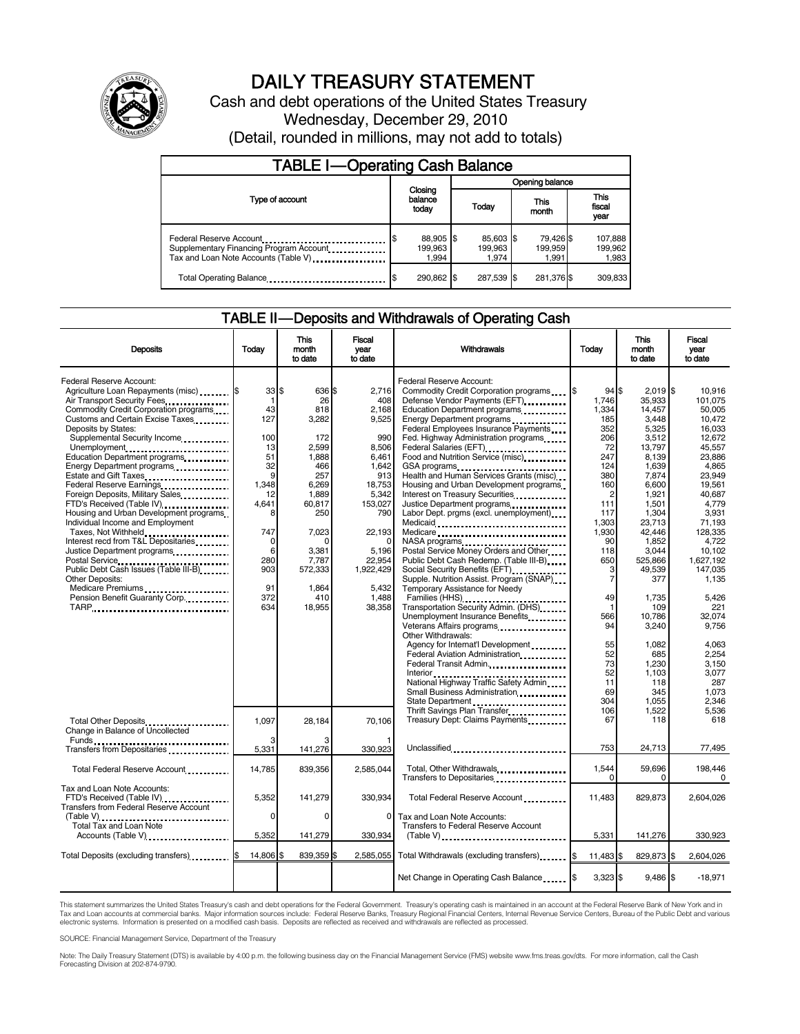

# DAILY TREASURY STATEMENT

Cash and debt operations of the United States Treasury Wednesday, December 29, 2010 (Detail, rounded in millions, may not add to totals)

| <b>TABLE I-Operating Cash Balance</b>                                                                      |                                    |                               |                               |                               |  |  |  |
|------------------------------------------------------------------------------------------------------------|------------------------------------|-------------------------------|-------------------------------|-------------------------------|--|--|--|
|                                                                                                            |                                    | Opening balance               |                               |                               |  |  |  |
| Type of account                                                                                            | Closing<br>balance<br>today        | Today                         | This<br>month                 | <b>This</b><br>fiscal<br>year |  |  |  |
| Federal Reserve Account<br>Supplementary Financing Program Account<br>Tax and Loan Note Accounts (Table V) | 88,905 \$<br>S<br>199.963<br>1.994 | 85,603 \$<br>199.963<br>1.974 | 79,426 \$<br>199,959<br>1.991 | 107,888<br>199.962<br>1,983   |  |  |  |
| Total Operating Balance                                                                                    | 290,862 \$                         | 287.539 \$                    | 281,376 \$                    | 309,833                       |  |  |  |

## TABLE II — Deposits and Withdrawals of Operating Cash

| <b>Deposits</b>                                                                                                  | Today            | <b>This</b><br>month<br>to date | <b>Fiscal</b><br>vear<br>to date | Withdrawals                                                                                                                                                            | Today                             | <b>This</b><br>month<br>to date   | <b>Fiscal</b><br>vear<br>to date        |
|------------------------------------------------------------------------------------------------------------------|------------------|---------------------------------|----------------------------------|------------------------------------------------------------------------------------------------------------------------------------------------------------------------|-----------------------------------|-----------------------------------|-----------------------------------------|
| Federal Reserve Account:<br>Agriculture Loan Repayments (misc) [\$<br>Air Transport Security Fees                | 33 S<br>1        | 636 \$<br>26                    | 2.716<br>408                     | Federal Reserve Account:<br>Commodity Credit Corporation programs \,\<br>Defense Vendor Payments (EFT)                                                                 | 94S<br>1,746                      | $2.019$ S<br>35,933               | 10.916<br>101,075                       |
| Commodity Credit Corporation programs<br>Customs and Certain Excise Taxes<br>Deposits by States:                 | 43<br>127        | 818<br>3,282                    | 2,168<br>9,525                   | Education Department programs<br>Energy Department programs<br>Federal Employees Insurance Payments                                                                    | 1,334<br>185<br>352               | 14,457<br>3.448<br>5,325          | 50.005<br>10,472<br>16,033              |
| Supplemental Security Income<br>Unemployment<br>Education Department programs                                    | 100<br>13<br>51  | 172<br>2,599<br>1,888           | 990<br>8,506<br>6,461            | Fed. Highway Administration programs<br>Federal Salaries (EFT)<br>Federal Salaries (EFT)<br>Food and Nutrition Service (misc) <b>Food</b> and Nutrition Service (misc) | 206<br>72<br>247                  | 3,512<br>13,797<br>8,139          | 12,672<br>45.557<br>23,886              |
| Energy Department programs<br>Estate and Gift Taxes<br>Federal Reserve Earnings                                  | 32<br>9<br>1,348 | 466<br>257<br>6,269             | 1,642<br>913<br>18,753           | GSA programs<br>Health and Human Services Grants (misc)<br>Housing and Urban Development programs                                                                      | 124<br>380<br>160                 | 1,639<br>7,874<br>6.600           | 4,865<br>23.949<br>19.561               |
| Foreign Deposits, Military Sales<br>FTD's Received (Table IV)<br>Housing and Urban Development programs          | 12<br>4.641<br>8 | 1,889<br>60,817<br>250          | 5,342<br>153,027<br>790          | Interest on Treasury Securities<br>Justice Department programs<br>Labor Dept. prgms (excl. unemployment)                                                               | 2<br>111<br>117                   | 1,921<br>1.501<br>1.304           | 40.687<br>4.779<br>3.931                |
| Individual Income and Employment<br>Taxes, Not Withheld<br>Interest recd from T&L Depositaries                   | 747<br>$\Omega$  | 7,023                           | 22,193<br>$\Omega$               | Medicare<br>NASA programs<br>Postal Service Money Orders and Other                                                                                                     | 1,303<br>1.930<br>90              | 23,713<br>42.446<br>1,852         | 71,193<br>128.335<br>4.722              |
| Justice Department programs<br>Postal Service<br>Public Debt Cash Issues (Table III-B)<br><b>Other Deposits:</b> | 6<br>280<br>903  | 3,381<br>7.787<br>572,333       | 5,196<br>22.954<br>1.922.429     | Public Debt Cash Redemp. (Table III-B)<br>Social Security Benefits (EFT)<br>Supple. Nutrition Assist. Program (SNAP)                                                   | 118<br>650<br>3<br>$\overline{7}$ | 3,044<br>525.866<br>49.539<br>377 | 10.102<br>1.627.192<br>147.035<br>1,135 |
| Medicare Premiums<br>Pension Benefit Guaranty Corp.<br>TARP                                                      | 91<br>372<br>634 | 1.864<br>410<br>18,955          | 5.432<br>1.488<br>38,358         | Temporary Assistance for Needy<br>Transportation Security Admin. (DHS)                                                                                                 | 49<br>1                           | 1.735<br>109                      | 5.426<br>221                            |
|                                                                                                                  |                  |                                 |                                  | Unemployment Insurance Benefits<br>Veterans Affairs programs<br>Other Withdrawals:                                                                                     | 566<br>94                         | 10.786<br>3.240                   | 32.074<br>9.756                         |
|                                                                                                                  |                  |                                 |                                  | Agency for Internat'l Development<br>Federal Aviation Administration<br>Federal Transit Admin                                                                          | 55<br>52<br>73                    | 1,082<br>685<br>1,230             | 4,063<br>2.254<br>3,150                 |
|                                                                                                                  |                  |                                 |                                  | National Highway Traffic Safety Admin<br>Small Business Administration                                                                                                 | 52<br>11<br>69<br>304             | 1,103<br>118<br>345<br>1,055      | 3,077<br>287<br>1,073<br>2,346          |
| Total Other Deposits<br>Change in Balance of Uncollected                                                         | 1,097            | 28,184                          | 70.106                           | State Department<br>Thrift Savings Plan Transfer.<br>Treasury Dept: Claims Payments                                                                                    | 106<br>67                         | 1,522<br>118                      | 5,536<br>618                            |
| Transfers from Depositaries                                                                                      | 5,331            | 141.276                         | 330.923                          | Unclassified                                                                                                                                                           | 753                               | 24,713                            | 77,495                                  |
| Total Federal Reserve Account                                                                                    | 14,785           | 839,356                         | 2,585,044                        | Total, Other Withdrawals<br>Transfers to Depositaries                                                                                                                  | 1,544<br>$\Omega$                 | 59,696<br><sup>0</sup>            | 198,446<br>$\Omega$                     |
| Tax and Loan Note Accounts:<br>FTD's Received (Table IV)<br>Transfers from Federal Reserve Account               | 5,352            | 141,279                         | 330,934                          | Total Federal Reserve Account                                                                                                                                          | 11,483                            | 829,873                           | 2,604,026                               |
| (Table V)<br>Total Tax and Loan Note<br>Accounts (Table V)                                                       | 0<br>5,352       | $\Omega$<br>141,279             | 0<br>330,934                     | Tax and Loan Note Accounts:<br>Transfers to Federal Reserve Account<br>$(Table V)$                                                                                     | 5,331                             | 141,276                           | 330,923                                 |
|                                                                                                                  | 14,806           | 839,359 \$                      | 2,585,055                        |                                                                                                                                                                        | 11,483 \$                         | 829,873                           | \$<br>2,604,026                         |
|                                                                                                                  |                  |                                 |                                  | Net Change in Operating Cash Balance                                                                                                                                   | $3,323$ \$                        | $9,486$ \$                        | $-18,971$                               |

This statement summarizes the United States Treasury's cash and debt operations for the Federal Government. Treasury's operating cash is maintained in an account at the Federal Reserve Bank of New York and in<br>Tax and Loan

SOURCE: Financial Management Service, Department of the Treasury

Note: The Daily Treasury Statement (DTS) is available by 4:00 p.m. the following business day on the Financial Management Service (FMS) website www.fms.treas.gov/dts. For more information, call the Cash Forecasting Division at 202-874-9790.